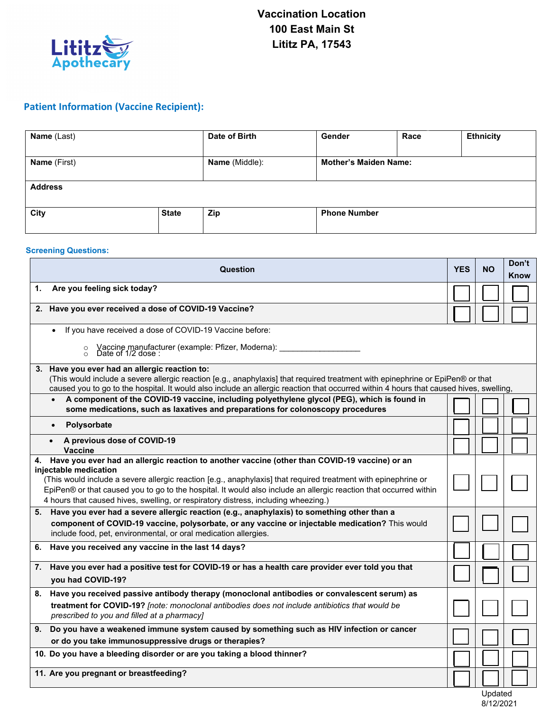

## **Patient Information (Vaccine Recipient):**

| Name (Last)         |              | Date of Birth  | Gender                       | Race | <b>Ethnicity</b> |  |
|---------------------|--------------|----------------|------------------------------|------|------------------|--|
| <b>Name</b> (First) |              | Name (Middle): | <b>Mother's Maiden Name:</b> |      |                  |  |
| <b>Address</b>      |              |                |                              |      |                  |  |
| City                | <b>State</b> | Zip            | <b>Phone Number</b>          |      |                  |  |

## **Screening Questions:**

|    | <b>YES</b>                                                                                                                                                                                                                                                                                                                                                                                                                                             | <b>NO</b> | Don't<br>Know |  |  |  |  |
|----|--------------------------------------------------------------------------------------------------------------------------------------------------------------------------------------------------------------------------------------------------------------------------------------------------------------------------------------------------------------------------------------------------------------------------------------------------------|-----------|---------------|--|--|--|--|
| 1. |                                                                                                                                                                                                                                                                                                                                                                                                                                                        |           |               |  |  |  |  |
|    | 2. Have you ever received a dose of COVID-19 Vaccine?                                                                                                                                                                                                                                                                                                                                                                                                  |           |               |  |  |  |  |
|    | If you have received a dose of COVID-19 Vaccine before:<br>Vaccine manufacturer (example: Pfizer, Moderna): ___________<br>Date of 1/2 dose :<br>$\circ$<br>$\circ$                                                                                                                                                                                                                                                                                    |           |               |  |  |  |  |
|    | 3. Have you ever had an allergic reaction to:<br>(This would include a severe allergic reaction [e.g., anaphylaxis] that required treatment with epinephrine or EpiPen® or that<br>caused you to go to the hospital. It would also include an allergic reaction that occurred within 4 hours that caused hives, swelling,<br>A component of the COVID-19 vaccine, including polyethylene glycol (PEG), which is found in<br>$\bullet$                  |           |               |  |  |  |  |
|    | some medications, such as laxatives and preparations for colonoscopy procedures                                                                                                                                                                                                                                                                                                                                                                        |           |               |  |  |  |  |
|    | Polysorbate<br>$\bullet$                                                                                                                                                                                                                                                                                                                                                                                                                               |           |               |  |  |  |  |
|    | A previous dose of COVID-19<br>$\bullet$<br><b>Vaccine</b>                                                                                                                                                                                                                                                                                                                                                                                             |           |               |  |  |  |  |
|    | 4. Have you ever had an allergic reaction to another vaccine (other than COVID-19 vaccine) or an<br>injectable medication<br>(This would include a severe allergic reaction [e.g., anaphylaxis] that required treatment with epinephrine or<br>EpiPen® or that caused you to go to the hospital. It would also include an allergic reaction that occurred within<br>4 hours that caused hives, swelling, or respiratory distress, including wheezing.) |           |               |  |  |  |  |
|    | 5. Have you ever had a severe allergic reaction (e.g., anaphylaxis) to something other than a<br>component of COVID-19 vaccine, polysorbate, or any vaccine or injectable medication? This would<br>include food, pet, environmental, or oral medication allergies.                                                                                                                                                                                    |           |               |  |  |  |  |
| 6. | Have you received any vaccine in the last 14 days?                                                                                                                                                                                                                                                                                                                                                                                                     |           |               |  |  |  |  |
| 7. | Have you ever had a positive test for COVID-19 or has a health care provider ever told you that<br>you had COVID-19?                                                                                                                                                                                                                                                                                                                                   |           |               |  |  |  |  |
|    | 8. Have you received passive antibody therapy (monoclonal antibodies or convalescent serum) as<br>treatment for COVID-19? [note: monoclonal antibodies does not include antibiotics that would be<br>prescribed to you and filled at a pharmacy]                                                                                                                                                                                                       |           |               |  |  |  |  |
|    | 9. Do you have a weakened immune system caused by something such as HIV infection or cancer<br>or do you take immunosuppressive drugs or therapies?                                                                                                                                                                                                                                                                                                    |           |               |  |  |  |  |
|    | 10. Do you have a bleeding disorder or are you taking a blood thinner?                                                                                                                                                                                                                                                                                                                                                                                 |           |               |  |  |  |  |
|    | 11. Are you pregnant or breastfeeding?                                                                                                                                                                                                                                                                                                                                                                                                                 |           |               |  |  |  |  |
|    |                                                                                                                                                                                                                                                                                                                                                                                                                                                        |           |               |  |  |  |  |